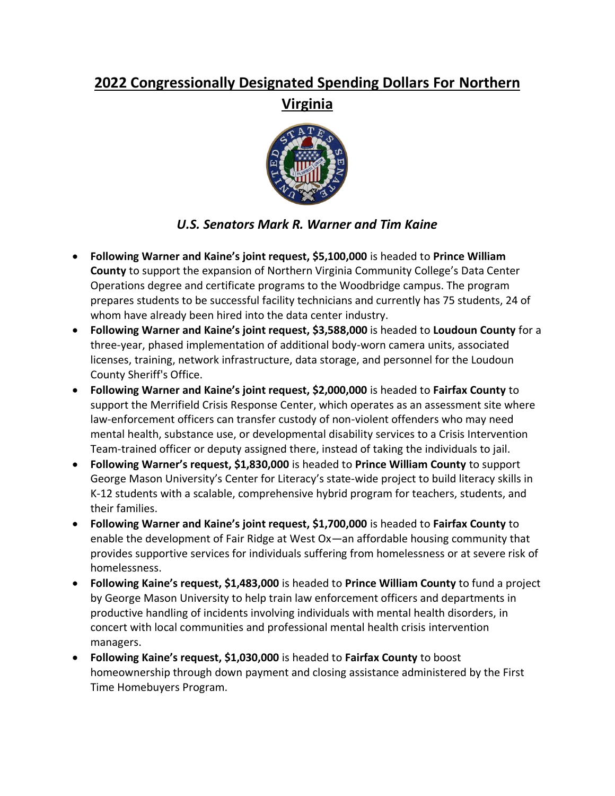## **2022 Congressionally Designated Spending Dollars For Northern Virginia**



## *U.S. Senators Mark R. Warner and Tim Kaine*

- **Following Warner and Kaine's joint request, \$5,100,000** is headed to **Prince William County** to support the expansion of Northern Virginia Community College's Data Center Operations degree and certificate programs to the Woodbridge campus. The program prepares students to be successful facility technicians and currently has 75 students, 24 of whom have already been hired into the data center industry.
- **Following Warner and Kaine's joint request, \$3,588,000** is headed to **Loudoun County** for a three-year, phased implementation of additional body-worn camera units, associated licenses, training, network infrastructure, data storage, and personnel for the Loudoun County Sheriff's Office.
- **Following Warner and Kaine's joint request, \$2,000,000** is headed to **Fairfax County** to support the Merrifield Crisis Response Center, which operates as an assessment site where law-enforcement officers can transfer custody of non-violent offenders who may need mental health, substance use, or developmental disability services to a Crisis Intervention Team-trained officer or deputy assigned there, instead of taking the individuals to jail.
- **Following Warner's request, \$1,830,000** is headed to **Prince William County** to support George Mason University's Center for Literacy's state-wide project to build literacy skills in K-12 students with a scalable, comprehensive hybrid program for teachers, students, and their families.
- **Following Warner and Kaine's joint request, \$1,700,000** is headed to **Fairfax County** to enable the development of Fair Ridge at West Ox—an affordable housing community that provides supportive services for individuals suffering from homelessness or at severe risk of homelessness.
- **Following Kaine's request, \$1,483,000** is headed to **Prince William County** to fund a project by George Mason University to help train law enforcement officers and departments in productive handling of incidents involving individuals with mental health disorders, in concert with local communities and professional mental health crisis intervention managers.
- **Following Kaine's request, \$1,030,000** is headed to **Fairfax County** to boost homeownership through down payment and closing assistance administered by the First Time Homebuyers Program.